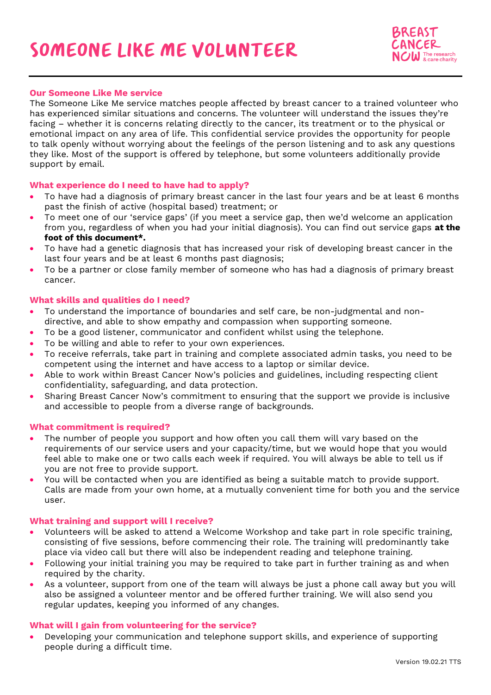

### **Our Someone Like Me service**

The Someone Like Me service matches people affected by breast cancer to a trained volunteer who has experienced similar situations and concerns. The volunteer will understand the issues they're facing – whether it is concerns relating directly to the cancer, its treatment or to the physical or emotional impact on any area of life. This confidential service provides the opportunity for people to talk openly without worrying about the feelings of the person listening and to ask any questions they like. Most of the support is offered by telephone, but some volunteers additionally provide support by email.

#### **What experience do I need to have had to apply?**

- To have had a diagnosis of primary breast cancer in the last four years and be at least 6 months past the finish of active (hospital based) treatment; or
- To meet one of our 'service gaps' (if you meet a service gap, then we'd welcome an application from you, regardless of when you had your initial diagnosis). You can find out service gaps **at the foot of this document\*.**
- To have had a genetic diagnosis that has increased your risk of developing breast cancer in the last four years and be at least 6 months past diagnosis;
- To be a partner or close family member of someone who has had a diagnosis of primary breast cancer.

## **What skills and qualities do I need?**

- To understand the importance of boundaries and self care, be non-judgmental and nondirective, and able to show empathy and compassion when supporting someone.
- To be a good listener, communicator and confident whilst using the telephone.
- To be willing and able to refer to your own experiences.
- To receive referrals, take part in training and complete associated admin tasks, you need to be competent using the internet and have access to a laptop or similar device.
- Able to work within Breast Cancer Now's policies and guidelines, including respecting client confidentiality, safeguarding, and data protection.
- Sharing Breast Cancer Now's commitment to ensuring that the support we provide is inclusive and accessible to people from a diverse range of backgrounds.

#### **What commitment is required?**

- The number of people you support and how often you call them will vary based on the requirements of our service users and your capacity/time, but we would hope that you would feel able to make one or two calls each week if required. You will always be able to tell us if you are not free to provide support.
- You will be contacted when you are identified as being a suitable match to provide support. Calls are made from your own home, at a mutually convenient time for both you and the service user.

#### **What training and support will I receive?**

- Volunteers will be asked to attend a Welcome Workshop and take part in role specific training, consisting of five sessions, before commencing their role. The training will predominantly take place via video call but there will also be independent reading and telephone training.
- Following your initial training you may be required to take part in further training as and when required by the charity.
- As a volunteer, support from one of the team will always be just a phone call away but you will also be assigned a volunteer mentor and be offered further training. We will also send you regular updates, keeping you informed of any changes.

#### **What will I gain from volunteering for the service?**

• Developing your communication and telephone support skills, and experience of supporting people during a difficult time.